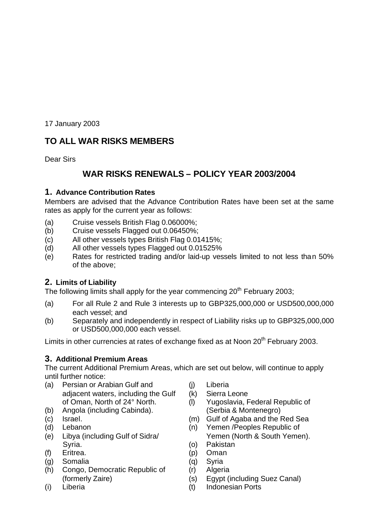17 January 2003

# **TO ALL WAR RISKS MEMBERS**

Dear Sirs

# **WAR RISKS RENEWALS – POLICY YEAR 2003/2004**

## **1. Advance Contribution Rates**

Members are advised that the Advance Contribution Rates have been set at the same rates as apply for the current year as follows:

- (a) Cruise vessels British Flag 0.06000%;
- (b) Cruise vessels Flagged out 0.06450%;
- (c) All other vessels types British Flag 0.01415%;
- (d) All other vessels types Flagged out 0.01525%
- (e) Rates for restricted trading and/or laid-up vessels limited to not less than 50% of the above;

## **2. Limits of Liability**

The following limits shall apply for the year commencing  $20<sup>th</sup>$  February 2003;

- (a) For all Rule 2 and Rule 3 interests up to GBP325,000,000 or USD500,000,000 each vessel; and
- (b) Separately and independently in respect of Liability risks up to GBP325,000,000 or USD500,000,000 each vessel.

Limits in other currencies at rates of exchange fixed as at Noon 20<sup>th</sup> February 2003.

## **3. Additional Premium Areas**

The current Additional Premium Areas, which are set out below, will continue to apply until further notice:

- (a) Persian or Arabian Gulf and (j) Liberia adjacent waters, including the Gulf (k) Sierra Leone
- (b) Angola (including Cabinda). (Serbia & Montenegro)
- 
- 
- Syria. **Syria.** (o) Pakistan
- (f) Eritrea. (p) Oman
- (g) Somalia (q) Syria
- (h) Congo, Democratic Republic of (r) Algeria
- 
- 
- 
- of Oman, North of 24° North. (l) Yugoslavia, Federal Republic of
- (c) Israel. (m) Gulf of Agaba and the Red Sea
- (d) Lebanon (n) Yemen /Peoples Republic of (e) Libya (including Gulf of Sidra/ Yemen (North & South Yemen).
	-
	-
	-
	-
	- (formerly Zaire) (s) Egypt (including Suez Canal)
- (i) Liberia (t) Indonesian Ports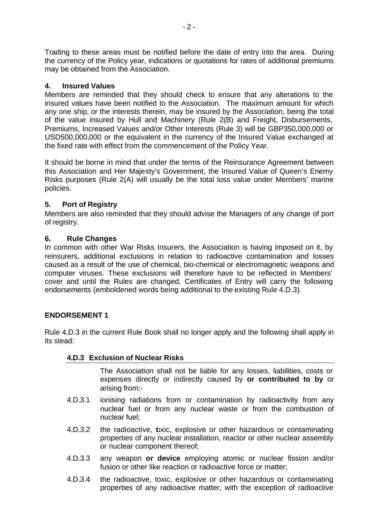Trading to these areas must be notified before the date of entry into the area. During the currency of the Policy year, indications or quotations for rates of additional premiums may be obtained from the Association.

### **4. Insured Values**

Members are reminded that they should check to ensure that any alterations to the insured values have been notified to the Association. The maximum amount for which any one ship, or the interests therein, may be insured by the Association, being the total of the value insured by Hull and Machinery (Rule 2(B) and Freight, Disbursements, Premiums, Increased Values and/or Other Interests (Rule 3) will be GBP350,000,000 or USD500,000,000 or the equivalent in the currency of the Insured Value exchanged at the fixed rate with effect from the commencement of the Policy Year.

It should be borne in mind that under the terms of the Reinsurance Agreement between this Association and Her Majesty's Government, the Insured Value of Queen's Enemy Risks purposes (Rule 2(A) will usually be the total loss value under Members' marine policies.

## **5. Port of Registry**

Members are also reminded that they should advise the Managers of any change of port of registry.

#### **6. Rule Changes**

In common with other War Risks Insurers, the Association is having imposed on it, by reinsurers, additional exclusions in relation to radioactive contamination and losses caused as a result of the use of chemical, bio-chemical or electromagnetic weapons and computer viruses. These exclusions will therefore have to be reflected in Members' cover and until the Rules are changed, Certificates of Entry will carry the following endorsements (emboldened words being additional to the existing Rule 4.D.3).

#### **ENDORSEMENT 1**

Rule 4.D.3 in the current Rule Book shall no longer apply and the following shall apply in its stead:

#### **4.D.3 Exclusion of Nuclear Risks**

The Association shall not be liable for any losses, liabilities, costs or expenses directly or indirectly caused by **or contributed to by** or arising from:-

- 4.D.3.1 ionising radiations from or contamination by radioactivity from any nuclear fuel or from any nuclear waste or from the combustion of nuclear fuel;
- 4.D.3.2 the radioactive, toxic, explosive or other hazardous or contaminating properties of any nuclear installation, reactor or other nuclear assembly or nuclear component thereof;
- 4.D.3.3 any weapon **or device** employing atomic or nuclear fission and/or fusion or other like reaction or radioactive force or matter;
- 4.D.3.4 the radioactive, toxic, explosive or other hazardous or contaminating properties of any radioactive matter, with the exception of radioactive